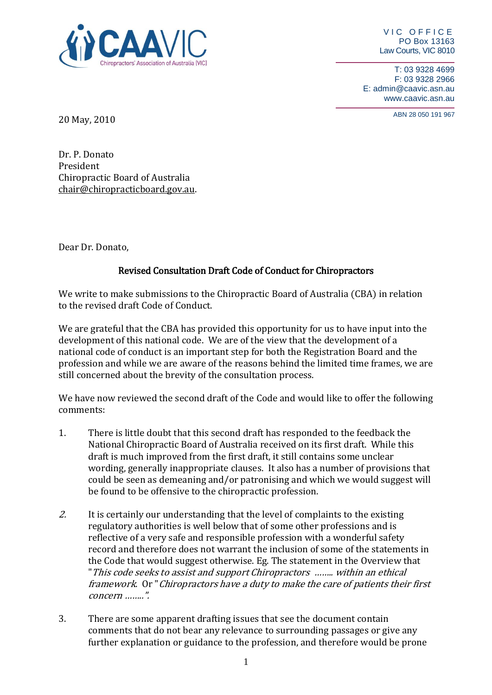

VIC OFFICE PO Box 13163 Law Courts, VIC 8010

T: 03 9328 4699 F: 03 9328 2966 E: admin@caavic.asn.au www.caavic.asn.au

ABN 28 050 191 <sup>967</sup> 20 May, 2010

Dr. P. Donato President Chiropractic Board of Australia [chair@chiropracticboard.gov.au.](mailto:chair@chiropracticboard.gov.au)

Dear Dr. Donato,

## Revised Consultation Draft Code of Conduct for Chiropractors

We write to make submissions to the Chiropractic Board of Australia (CBA) in relation to the revised draft Code of Conduct.

We are grateful that the CBA has provided this opportunity for us to have input into the development of this national code. We are of the view that the development of a national code of conduct is an important step for both the Registration Board and the profession and while we are aware of the reasons behind the limited time frames, we are still concerned about the brevity of the consultation process.

We have now reviewed the second draft of the Code and would like to offer the following comments:

- 1. There is little doubt that this second draft has responded to the feedback the National Chiropractic Board of Australia received on its first draft. While this draft is much improved from the first draft, it still contains some unclear wording, generally inappropriate clauses. It also has a number of provisions that could be seen as demeaning and/or patronising and which we would suggest will be found to be offensive to the chiropractic profession.
- 2. It is certainly our understanding that the level of complaints to the existing regulatory authorities is well below that of some other professions and is reflective of a very safe and responsible profession with a wonderful safety record and therefore does not warrant the inclusion of some of the statements in the Code that would suggest otherwise. Eg. The statement in the Overview that "This code seeks to assist and support Chiropractors …….. within an ethical framework. Or "Chiropractors have a duty to make the care of patients their first concern ……..".
- 3. There are some apparent drafting issues that see the document contain comments that do not bear any relevance to surrounding passages or give any further explanation or guidance to the profession, and therefore would be prone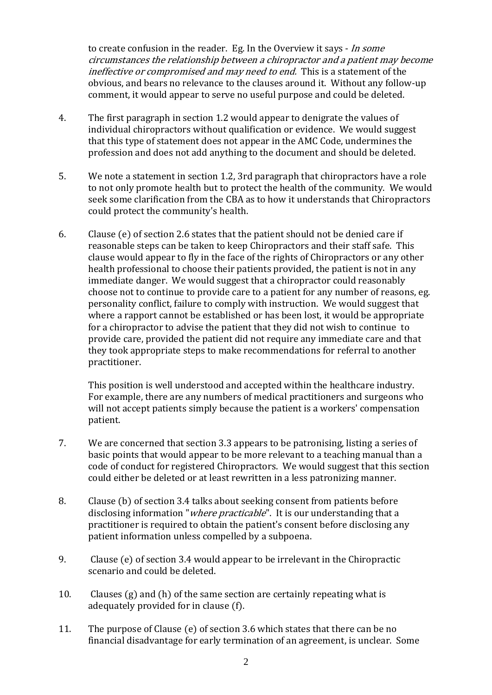to create confusion in the reader. Eg. In the Overview it says - In some circumstances the relationship between a chiropractor and a patient may become ineffective or compromised and may need to end. This is a statement of the obvious, and bears no relevance to the clauses around it. Without any follow-up comment, it would appear to serve no useful purpose and could be deleted.

- 4. The first paragraph in section 1.2 would appear to denigrate the values of individual chiropractors without qualification or evidence. We would suggest that this type of statement does not appear in the AMC Code, undermines the profession and does not add anything to the document and should be deleted.
- 5. We note a statement in section 1.2, 3rd paragraph that chiropractors have a role to not only promote health but to protect the health of the community. We would seek some clarification from the CBA as to how it understands that Chiropractors could protect the community's health.
- 6. Clause (e) of section 2.6 states that the patient should not be denied care if reasonable steps can be taken to keep Chiropractors and their staff safe. This clause would appear to fly in the face of the rights of Chiropractors or any other health professional to choose their patients provided, the patient is not in any immediate danger. We would suggest that a chiropractor could reasonably choose not to continue to provide care to a patient for any number of reasons, eg. personality conflict, failure to comply with instruction. We would suggest that where a rapport cannot be established or has been lost, it would be appropriate for a chiropractor to advise the patient that they did not wish to continue to provide care, provided the patient did not require any immediate care and that they took appropriate steps to make recommendations for referral to another practitioner.

This position is well understood and accepted within the healthcare industry. For example, there are any numbers of medical practitioners and surgeons who will not accept patients simply because the patient is a workers' compensation patient.

- 7. We are concerned that section 3.3 appears to be patronising, listing a series of basic points that would appear to be more relevant to a teaching manual than a code of conduct for registered Chiropractors. We would suggest that this section could either be deleted or at least rewritten in a less patronizing manner.
- 8. Clause (b) of section 3.4 talks about seeking consent from patients before disclosing information "*where practicable*". It is our understanding that a practitioner is required to obtain the patient's consent before disclosing any patient information unless compelled by a subpoena.
- 9. Clause (e) of section 3.4 would appear to be irrelevant in the Chiropractic scenario and could be deleted.
- 10. Clauses (g) and (h) of the same section are certainly repeating what is adequately provided for in clause (f).
- 11. The purpose of Clause (e) of section 3.6 which states that there can be no financial disadvantage for early termination of an agreement, is unclear. Some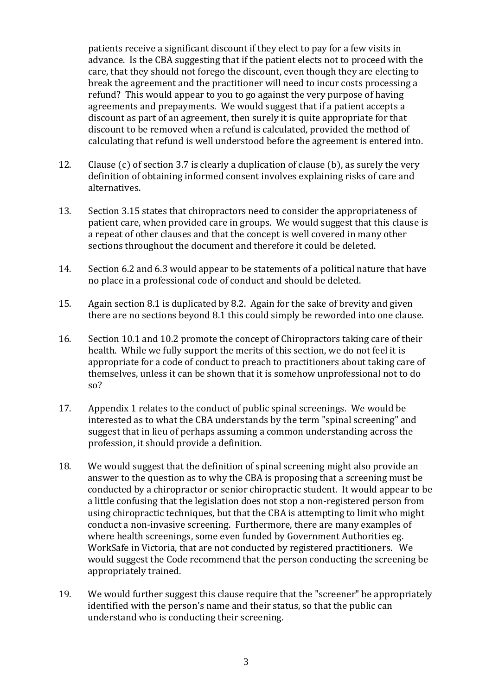patients receive a significant discount if they elect to pay for a few visits in advance. Is the CBA suggesting that if the patient elects not to proceed with the care, that they should not forego the discount, even though they are electing to break the agreement and the practitioner will need to incur costs processing a refund? This would appear to you to go against the very purpose of having agreements and prepayments. We would suggest that if a patient accepts a discount as part of an agreement, then surely it is quite appropriate for that discount to be removed when a refund is calculated, provided the method of calculating that refund is well understood before the agreement is entered into.

- 12. Clause (c) of section 3.7 is clearly a duplication of clause (b), as surely the very definition of obtaining informed consent involves explaining risks of care and alternatives.
- 13. Section 3.15 states that chiropractors need to consider the appropriateness of patient care, when provided care in groups. We would suggest that this clause is a repeat of other clauses and that the concept is well covered in many other sections throughout the document and therefore it could be deleted.
- 14. Section 6.2 and 6.3 would appear to be statements of a political nature that have no place in a professional code of conduct and should be deleted.
- 15. Again section 8.1 is duplicated by 8.2. Again for the sake of brevity and given there are no sections beyond 8.1 this could simply be reworded into one clause.
- 16. Section 10.1 and 10.2 promote the concept of Chiropractors taking care of their health. While we fully support the merits of this section, we do not feel it is appropriate for a code of conduct to preach to practitioners about taking care of themselves, unless it can be shown that it is somehow unprofessional not to do so?
- 17. Appendix 1 relates to the conduct of public spinal screenings. We would be interested as to what the CBA understands by the term "spinal screening" and suggest that in lieu of perhaps assuming a common understanding across the profession, it should provide a definition.
- 18. We would suggest that the definition of spinal screening might also provide an answer to the question as to why the CBA is proposing that a screening must be conducted by a chiropractor or senior chiropractic student. It would appear to be a little confusing that the legislation does not stop a non-registered person from using chiropractic techniques, but that the CBA is attempting to limit who might conduct a non-invasive screening. Furthermore, there are many examples of where health screenings, some even funded by Government Authorities eg. WorkSafe in Victoria, that are not conducted by registered practitioners. We would suggest the Code recommend that the person conducting the screening be appropriately trained.
- 19. We would further suggest this clause require that the "screener" be appropriately identified with the person's name and their status, so that the public can understand who is conducting their screening.